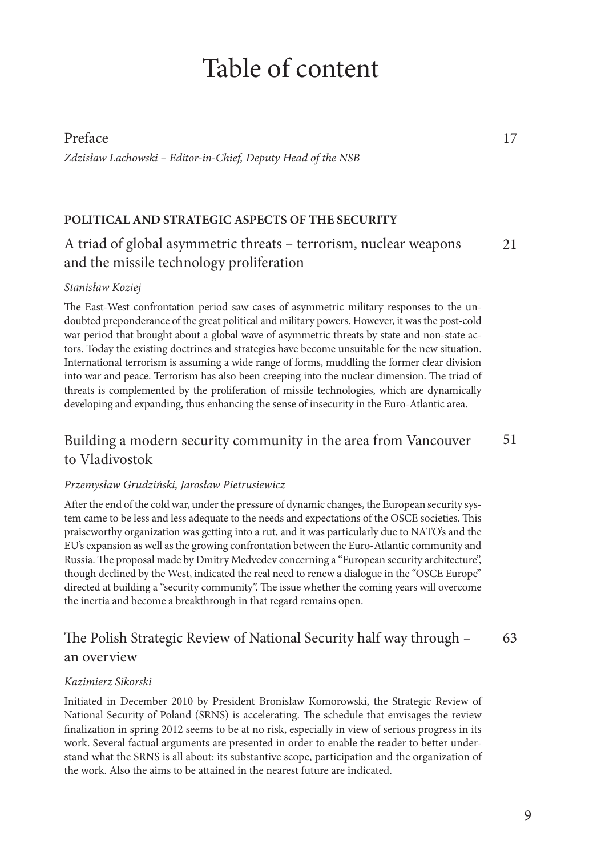# Table of content

# Preface *Zdzisław Lachowski – Editor-in-Chief, Deputy Head of the NSB*

# **POLITICAL AND STRATEGIC ASPECTS OF THE SECURITY**

A triad of global asymmetric threats – terrorism, nuclear weapons and the missile technology proliferation 21

### *Stanisław Koziej*

The East-West confrontation period saw cases of asymmetric military responses to the undoubted preponderance of the great political and military powers. However, it was the post-cold war period that brought about a global wave of asymmetric threats by state and non-state actors. Today the existing doctrines and strategies have become unsuitable for the new situation. International terrorism is assuming a wide range of forms, muddling the former clear division into war and peace. Terrorism has also been creeping into the nuclear dimension. The triad of threats is complemented by the proliferation of missile technologies, which are dynamically developing and expanding, thus enhancing the sense of insecurity in the Euro-Atlantic area.

#### Building a modern security community in the area from Vancouver to Vladivostok 51

#### *Przemysław Grudziński, Jarosław Pietrusiewicz*

After the end of the cold war, under the pressure of dynamic changes, the European security system came to be less and less adequate to the needs and expectations of the OSCE societies. This praiseworthy organization was getting into a rut, and it was particularly due to NATO's and the EU's expansion as well as the growing confrontation between the Euro-Atlantic community and Russia. The proposal made by Dmitry Medvedev concerning a "European security architecture", though declined by the West, indicated the real need to renew a dialogue in the "OSCE Europe" directed at building a "security community". The issue whether the coming years will overcome the inertia and become a breakthrough in that regard remains open.

#### The Polish Strategic Review of National Security half way through an overview 63

### *Kazimierz Sikorski*

Initiated in December 2010 by President Bronisław Komorowski, the Strategic Review of National Security of Poland (SRNS) is accelerating. The schedule that envisages the review finalization in spring 2012 seems to be at no risk, especially in view of serious progress in its work. Several factual arguments are presented in order to enable the reader to better understand what the SRNS is all about: its substantive scope, participation and the organization of the work. Also the aims to be attained in the nearest future are indicated.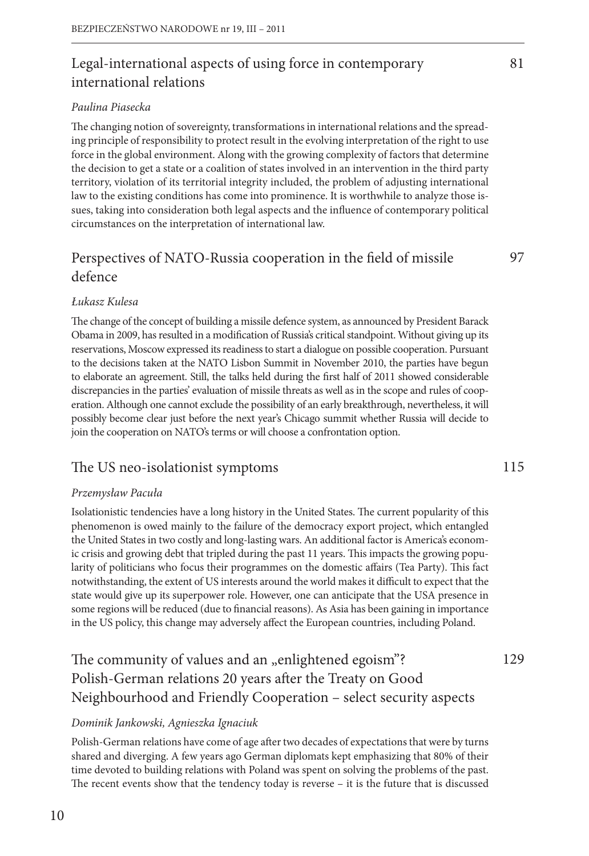# Legal-international aspects of using force in contemporary international relations

# *Paulina Piasecka*

The changing notion of sovereignty, transformations in international relations and the spreading principle of responsibility to protect result in the evolving interpretation of the right to use force in the global environment. Along with the growing complexity of factors that determine the decision to get a state or a coalition of states involved in an intervention in the third party territory, violation of its territorial integrity included, the problem of adjusting international law to the existing conditions has come into prominence. It is worthwhile to analyze those issues, taking into consideration both legal aspects and the influence of contemporary political circumstances on the interpretation of international law.

# Perspectives of NATO-Russia cooperation in the field of missile defence

# *Łukasz Kulesa*

The change of the concept of building a missile defence system, as announced by President Barack Obama in 2009, has resulted in a modification of Russia's critical standpoint. Without giving up its reservations, Moscow expressed its readiness to start a dialogue on possible cooperation. Pursuant to the decisions taken at the NATO Lisbon Summit in November 2010, the parties have begun to elaborate an agreement. Still, the talks held during the first half of 2011 showed considerable discrepancies in the parties' evaluation of missile threats as well as in the scope and rules of cooperation. Although one cannot exclude the possibility of an early breakthrough, nevertheless, it will possibly become clear just before the next year's Chicago summit whether Russia will decide to join the cooperation on NATO's terms or will choose a confrontation option.

# The US neo-isolationist symptoms

# *Przemysław Pacuła*

Isolationistic tendencies have a long history in the United States. The current popularity of this phenomenon is owed mainly to the failure of the democracy export project, which entangled the United States in two costly and long-lasting wars. An additional factor is America's economic crisis and growing debt that tripled during the past 11 years. This impacts the growing popularity of politicians who focus their programmes on the domestic affairs (Tea Party). This fact notwithstanding, the extent of US interests around the world makes it difficult to expect that the state would give up its superpower role. However, one can anticipate that the USA presence in some regions will be reduced (due to financial reasons). As Asia has been gaining in importance in the US policy, this change may adversely affect the European countries, including Poland.

# The community of values and an "enlightened egoism"? Polish-German relations 20 years after the Treaty on Good Neighbourhood and Friendly Cooperation – select security aspects

# *Dominik Jankowski, Agnieszka Ignaciuk*

Polish-German relations have come of age after two decades of expectations that were by turns shared and diverging. A few years ago German diplomats kept emphasizing that 80% of their time devoted to building relations with Poland was spent on solving the problems of the past. The recent events show that the tendency today is reverse – it is the future that is discussed 97

115

129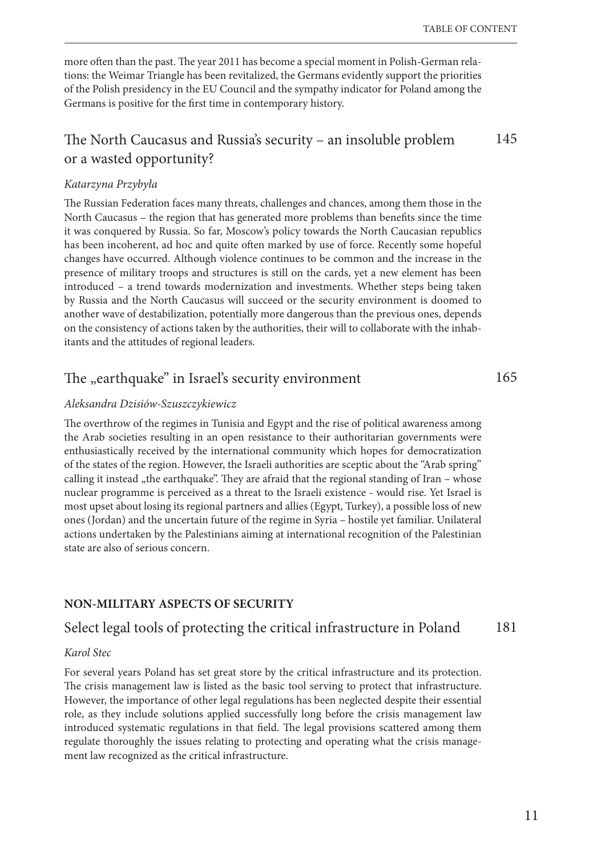165

more often than the past. The year 2011 has become a special moment in Polish-German relations: the Weimar Triangle has been revitalized, the Germans evidently support the priorities of the Polish presidency in the EU Council and the sympathy indicator for Poland among the Germans is positive for the first time in contemporary history.

#### The North Caucasus and Russia's security – an insoluble problem or a wasted opportunity? 145

### *Katarzyna Przybyła*

The Russian Federation faces many threats, challenges and chances, among them those in the North Caucasus – the region that has generated more problems than benefits since the time it was conquered by Russia. So far, Moscow's policy towards the North Caucasian republics has been incoherent, ad hoc and quite often marked by use of force. Recently some hopeful changes have occurred. Although violence continues to be common and the increase in the presence of military troops and structures is still on the cards, yet a new element has been introduced – a trend towards modernization and investments. Whether steps being taken by Russia and the North Caucasus will succeed or the security environment is doomed to another wave of destabilization, potentially more dangerous than the previous ones, depends on the consistency of actions taken by the authorities, their will to collaborate with the inhabitants and the attitudes of regional leaders.

# The "earthquake" in Israel's security environment

# *Aleksandra Dzisiów-Szuszczykiewicz*

The overthrow of the regimes in Tunisia and Egypt and the rise of political awareness among the Arab societies resulting in an open resistance to their authoritarian governments were enthusiastically received by the international community which hopes for democratization of the states of the region. However, the Israeli authorities are sceptic about the "Arab spring" calling it instead "the earthquake". They are afraid that the regional standing of Iran – whose nuclear programme is perceived as a threat to the Israeli existence - would rise. Yet Israel is most upset about losing its regional partners and allies (Egypt, Turkey), a possible loss of new ones (Jordan) and the uncertain future of the regime in Syria – hostile yet familiar. Unilateral actions undertaken by the Palestinians aiming at international recognition of the Palestinian state are also of serious concern.

# **NON-MILITARY ASPECTS OF SECURITY**

#### Select legal tools of protecting the critical infrastructure in Poland 181

#### *Karol Stec*

For several years Poland has set great store by the critical infrastructure and its protection. The crisis management law is listed as the basic tool serving to protect that infrastructure. However, the importance of other legal regulations has been neglected despite their essential role, as they include solutions applied successfully long before the crisis management law introduced systematic regulations in that field. The legal provisions scattered among them regulate thoroughly the issues relating to protecting and operating what the crisis management law recognized as the critical infrastructure.